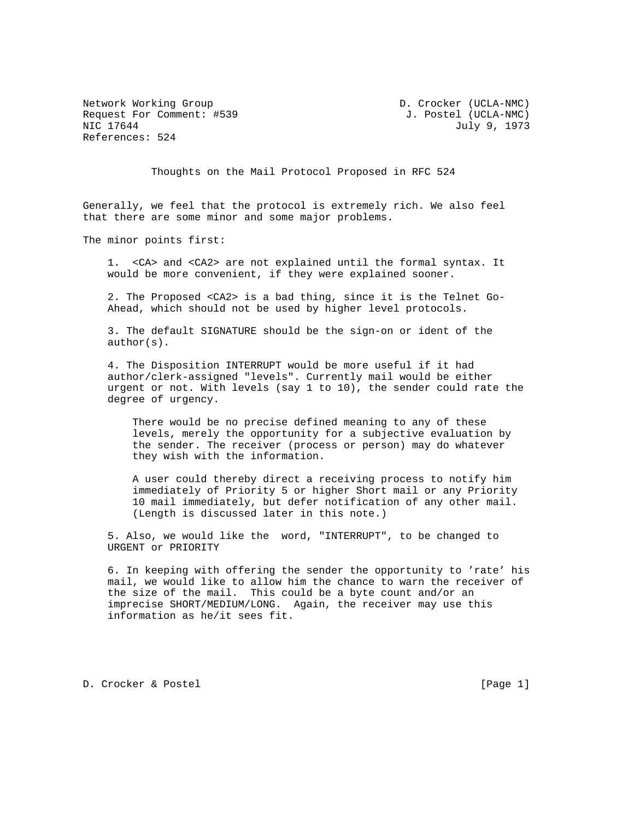Network Working Group D. Crocker (UCLA-NMC) Request For Comment: #539 J. Postel (UCLA-NMC) NIC 17644 July 9, 1973 References: 524

Thoughts on the Mail Protocol Proposed in RFC 524

Generally, we feel that the protocol is extremely rich. We also feel that there are some minor and some major problems.

The minor points first:

 1. <CA> and <CA2> are not explained until the formal syntax. It would be more convenient, if they were explained sooner.

 2. The Proposed <CA2> is a bad thing, since it is the Telnet Go- Ahead, which should not be used by higher level protocols.

 3. The default SIGNATURE should be the sign-on or ident of the author(s).

 4. The Disposition INTERRUPT would be more useful if it had author/clerk-assigned "levels". Currently mail would be either urgent or not. With levels (say 1 to 10), the sender could rate the degree of urgency.

 There would be no precise defined meaning to any of these levels, merely the opportunity for a subjective evaluation by the sender. The receiver (process or person) may do whatever they wish with the information.

 A user could thereby direct a receiving process to notify him immediately of Priority 5 or higher Short mail or any Priority 10 mail immediately, but defer notification of any other mail. (Length is discussed later in this note.)

 5. Also, we would like the word, "INTERRUPT", to be changed to URGENT or PRIORITY

 6. In keeping with offering the sender the opportunity to 'rate' his mail, we would like to allow him the chance to warn the receiver of the size of the mail. This could be a byte count and/or an imprecise SHORT/MEDIUM/LONG. Again, the receiver may use this information as he/it sees fit.

D. Crocker & Postel [Page 1]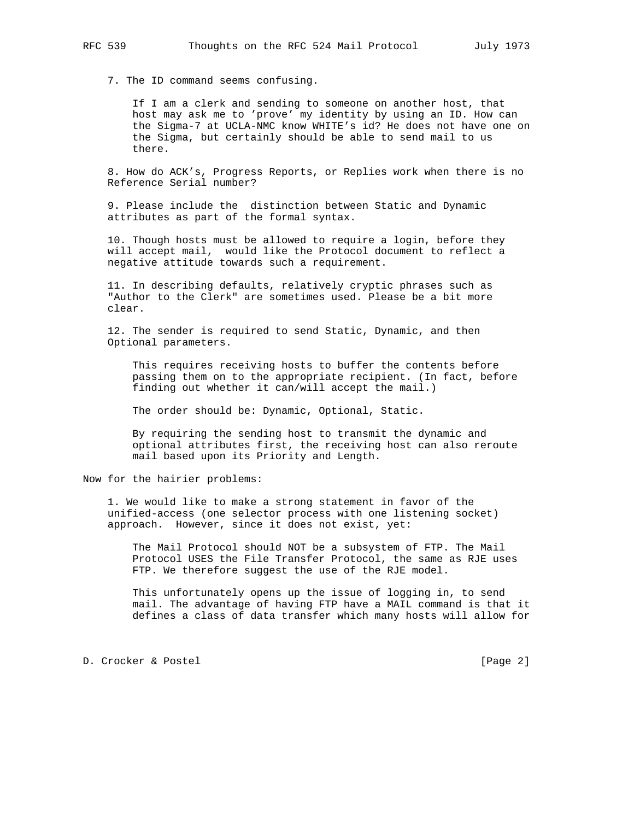7. The ID command seems confusing.

 If I am a clerk and sending to someone on another host, that host may ask me to 'prove' my identity by using an ID. How can the Sigma-7 at UCLA-NMC know WHITE's id? He does not have one on the Sigma, but certainly should be able to send mail to us there.

 8. How do ACK's, Progress Reports, or Replies work when there is no Reference Serial number?

 9. Please include the distinction between Static and Dynamic attributes as part of the formal syntax.

 10. Though hosts must be allowed to require a login, before they will accept mail, would like the Protocol document to reflect a negative attitude towards such a requirement.

 11. In describing defaults, relatively cryptic phrases such as "Author to the Clerk" are sometimes used. Please be a bit more clear.

 12. The sender is required to send Static, Dynamic, and then Optional parameters.

 This requires receiving hosts to buffer the contents before passing them on to the appropriate recipient. (In fact, before finding out whether it can/will accept the mail.)

The order should be: Dynamic, Optional, Static.

 By requiring the sending host to transmit the dynamic and optional attributes first, the receiving host can also reroute mail based upon its Priority and Length.

Now for the hairier problems:

 1. We would like to make a strong statement in favor of the unified-access (one selector process with one listening socket) approach. However, since it does not exist, yet:

 The Mail Protocol should NOT be a subsystem of FTP. The Mail Protocol USES the File Transfer Protocol, the same as RJE uses FTP. We therefore suggest the use of the RJE model.

 This unfortunately opens up the issue of logging in, to send mail. The advantage of having FTP have a MAIL command is that it defines a class of data transfer which many hosts will allow for

D. Crocker & Postel and The Crocker and The Page 2]